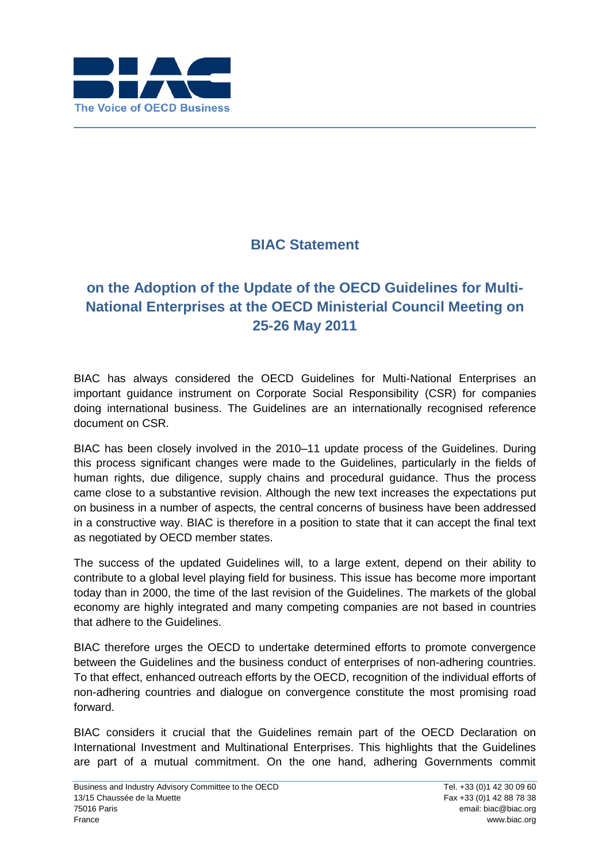

## **BIAC Statement**

## **on the Adoption of the Update of the OECD Guidelines for Multi-National Enterprises at the OECD Ministerial Council Meeting on 25-26 May 2011**

BIAC has always considered the OECD Guidelines for Multi-National Enterprises an important guidance instrument on Corporate Social Responsibility (CSR) for companies doing international business. The Guidelines are an internationally recognised reference document on CSR.

BIAC has been closely involved in the 2010–11 update process of the Guidelines. During this process significant changes were made to the Guidelines, particularly in the fields of human rights, due diligence, supply chains and procedural guidance. Thus the process came close to a substantive revision. Although the new text increases the expectations put on business in a number of aspects, the central concerns of business have been addressed in a constructive way. BIAC is therefore in a position to state that it can accept the final text as negotiated by OECD member states.

The success of the updated Guidelines will, to a large extent, depend on their ability to contribute to a global level playing field for business. This issue has become more important today than in 2000, the time of the last revision of the Guidelines. The markets of the global economy are highly integrated and many competing companies are not based in countries that adhere to the Guidelines.

BIAC therefore urges the OECD to undertake determined efforts to promote convergence between the Guidelines and the business conduct of enterprises of non-adhering countries. To that effect, enhanced outreach efforts by the OECD, recognition of the individual efforts of non-adhering countries and dialogue on convergence constitute the most promising road forward.

BIAC considers it crucial that the Guidelines remain part of the OECD Declaration on International Investment and Multinational Enterprises. This highlights that the Guidelines are part of a mutual commitment. On the one hand, adhering Governments commit